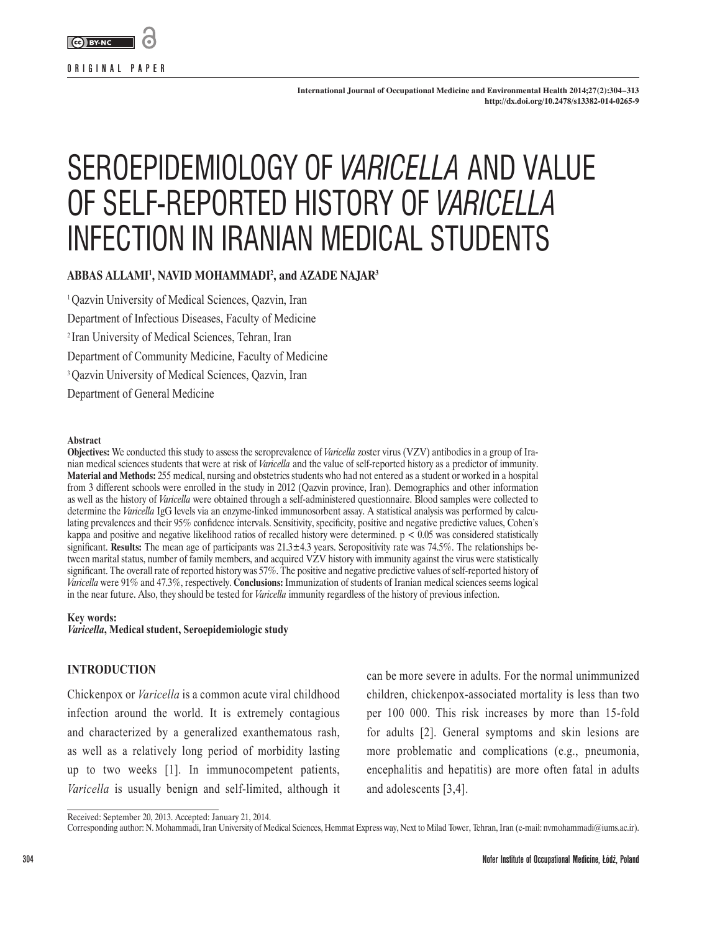

**ORIGINAL PAPER**

# SEROEPIDEMIOLOGY OF *VARICELLA* AND VALUE OF SELF-REPORTED HISTORY OF *VARICELLA* INFECTION IN IRANIAN MEDICAL STUDENTS

# **ABBAS ALLAMI1 , NAVID MOHAMMADI2 , and AZADE NAJAR3**

<sup>1</sup> Oazvin University of Medical Sciences, Oazvin, Iran Department of Infectious Diseases, Faculty of Medicine 2 Iran University of Medical Sciences, Tehran, Iran Department of Community Medicine, Faculty of Medicine 3 Qazvin University of Medical Sciences, Qazvin, Iran Department of General Medicine

#### **Abstract**

**Objectives:** We conducted this study to assess the seroprevalence of *Varicella* zoster virus (VZV) antibodies in a group of Iranian medical sciences students that were at risk of *Varicella* and the value of self-reported history as a predictor of immunity. **Material and Methods:** 255 medical, nursing and obstetrics students who had not entered as a student or worked in a hospital from 3 different schools were enrolled in the study in 2012 (Qazvin province, Iran). Demographics and other information as well as the history of *Varicella* were obtained through a self-administered questionnaire. Blood samples were collected to determine the *Varicella* IgG levels via an enzyme-linked immunosorbent assay. A statistical analysis was performed by calculating prevalences and their 95% confidence intervals. Sensitivity, specificity, positive and negative predictive values, Cohen's kappa and positive and negative likelihood ratios of recalled history were determined.  $p < 0.05$  was considered statistically significant. **Results:** The mean age of participants was  $21.3 \pm 4.3$  years. Seropositivity rate was 74.5%. The relationships between marital status, number of family members, and acquired VZV history with immunity against the virus were statistically significant. The overall rate of reported history was 57%. The positive and negative predictive values of self-reported history of *Varicella* were 91% and 47.3%, respectively. **Conclusions:** Immunization of students of Iranian medical sciences seems logical in the near future. Also, they should be tested for *Varicella* immunity regardless of the history of previous infection.

#### **Key words:**

*Varicella***, Medical student, Seroepidemiologic study**

## **INTRODUCTION**

Chickenpox or *Varicella* is a common acute viral childhood infection around the world. It is extremely contagious and characterized by a generalized exanthematous rash, as well as a relatively long period of morbidity lasting up to two weeks [1]. In immunocompetent patients, *Varicella* is usually benign and self-limited, although it can be more severe in adults. For the normal unimmunized children, chickenpox-associated mortality is less than two per 100 000. This risk increases by more than 15-fold for adults [2]. General symptoms and skin lesions are more problematic and complications (e.g., pneumonia, encephalitis and hepatitis) are more often fatal in adults and adolescents [3,4].

Received: September 20, 2013. Accepted: January 21, 2014.

Corresponding author: N. Mohammadi, Iran University of Medical Sciences, Hemmat Express way, Next to Milad Tower, Tehran, Iran (e-mail: nvmohammadi@iums.ac.ir).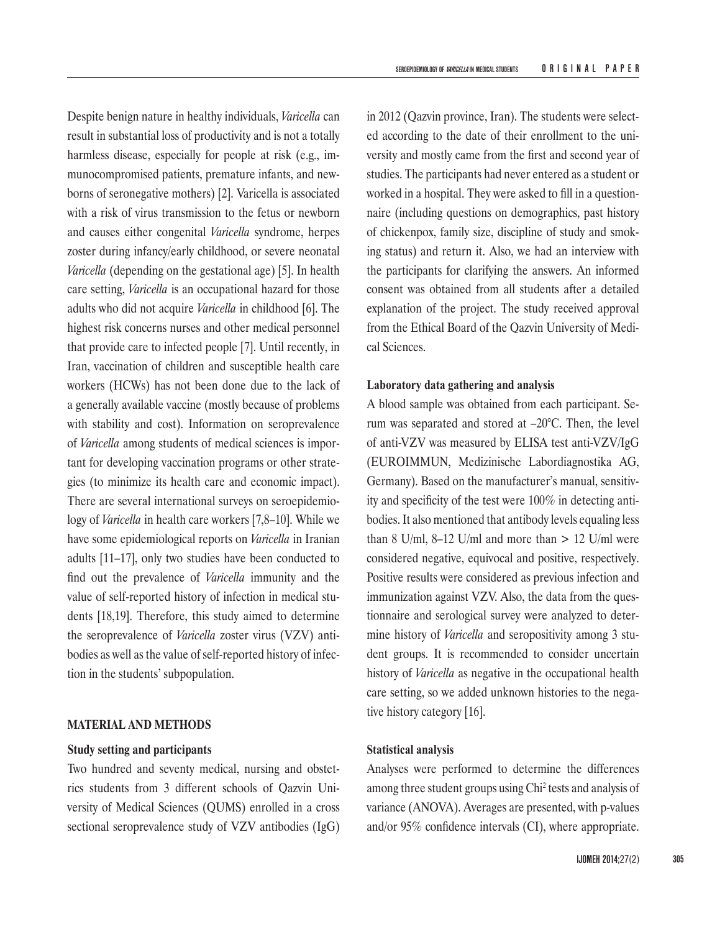Despite benign nature in healthy individuals, *Varicella* can result in substantial loss of productivity and is not a totally harmless disease, especially for people at risk (e.g., immunocompromised patients, premature infants, and newborns of seronegative mothers) [2]. Varicella is associated with a risk of virus transmission to the fetus or newborn and causes either congenital *Varicella* syndrome, herpes zoster during infancy/early childhood, or severe neonatal *Varicella* (depending on the gestational age) [5]. In health care setting, *Varicella* is an occupational hazard for those adults who did not acquire *Varicella* in childhood [6]. The highest risk concerns nurses and other medical personnel that provide care to infected people [7]. Until recently, in Iran, vaccination of children and susceptible health care workers (HCWs) has not been done due to the lack of a generally available vaccine (mostly because of problems with stability and cost). Information on seroprevalence of *Varicella* among students of medical sciences is important for developing vaccination programs or other strategies (to minimize its health care and economic impact). There are several international surveys on seroepidemiology of *Varicella* in health care workers [7,8–10]. While we have some epidemiological reports on *Varicella* in Iranian adults [11–17], only two studies have been conducted to find out the prevalence of *Varicella* immunity and the value of self-reported history of infection in medical students [18,19]. Therefore, this study aimed to determine the seroprevalence of *Varicella* zoster virus (VZV) antibodies as well as the value of self-reported history of infection in the students' subpopulation.

# **MATERIAL AND METHODS**

## **Study setting and participants**

Two hundred and seventy medical, nursing and obstetrics students from 3 different schools of Qazvin University of Medical Sciences (QUMS) enrolled in a cross sectional seroprevalence study of VZV antibodies (IgG) in 2012 (Qazvin province, Iran). The students were selected according to the date of their enrollment to the university and mostly came from the first and second year of studies. The participants had never entered as a student or worked in a hospital. They were asked to fill in a questionnaire (including questions on demographics, past history of chickenpox, family size, discipline of study and smoking status) and return it. Also, we had an interview with the participants for clarifying the answers. An informed consent was obtained from all students after a detailed explanation of the project. The study received approval from the Ethical Board of the Qazvin University of Medical Sciences.

## **Laboratory data gathering and analysis**

A blood sample was obtained from each participant. Serum was separated and stored at –20°C. Then, the level of anti-VZV was measured by ELISA test anti-VZV/IgG (EUROIMMUN, Medizinische Labordiagnostika AG, Germany). Based on the manufacturer's manual, sensitivity and specificity of the test were 100% in detecting antibodies. It also mentioned that antibody levels equaling less than 8 U/ml, 8–12 U/ml and more than  $> 12$  U/ml were considered negative, equivocal and positive, respectively. Positive results were considered as previous infection and immunization against VZV. Also, the data from the questionnaire and serological survey were analyzed to determine history of *Varicella* and seropositivity among 3 student groups. It is recommended to consider uncertain history of *Varicella* as negative in the occupational health care setting, so we added unknown histories to the negative history category [16].

## **Statistical analysis**

Analyses were performed to determine the differences among three student groups using Chi<sup>2</sup> tests and analysis of variance (ANOVA). Averages are presented, with p-values and/or 95% confidence intervals (CI), where appropriate.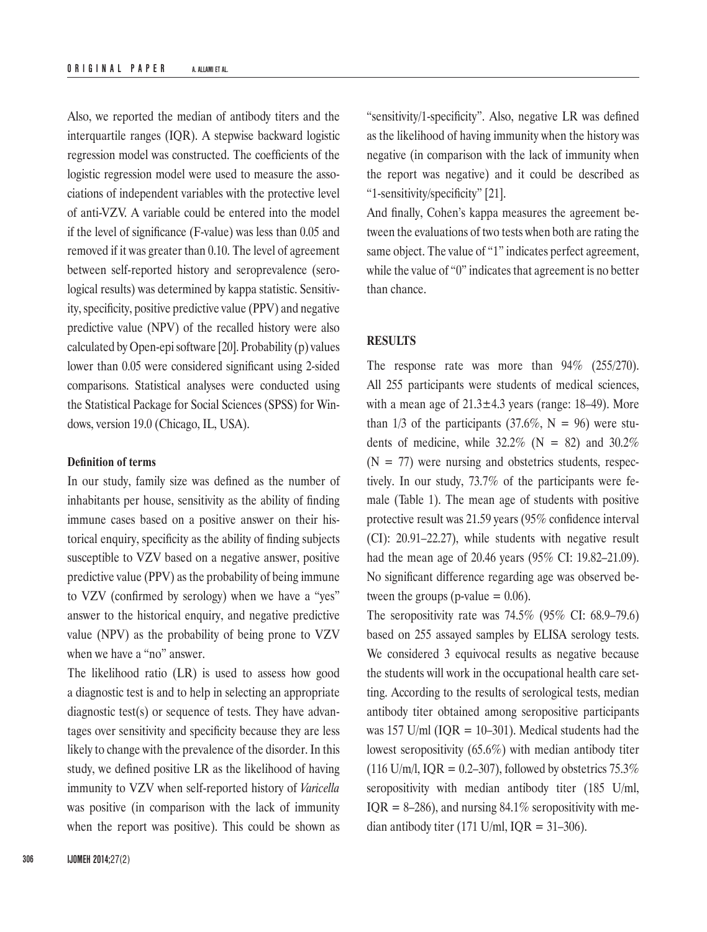Also, we reported the median of antibody titers and the interquartile ranges (IQR). A stepwise backward logistic regression model was constructed. The coefficients of the logistic regression model were used to measure the associations of independent variables with the protective level of anti-VZV. A variable could be entered into the model if the level of significance (F-value) was less than 0.05 and removed if it was greater than 0.10. The level of agreement between self-reported history and seroprevalence (serological results) was determined by kappa statistic. Sensitivity, specificity, positive predictive value (PPV) and negative predictive value (NPV) of the recalled history were also calculated by Open-epi software [20]. Probability (p) values lower than 0.05 were considered significant using 2-sided comparisons. Statistical analyses were conducted using the Statistical Package for Social Sciences (SPSS) for Windows, version 19.0 (Chicago, IL, USA).

## **Definition of terms**

In our study, family size was defined as the number of inhabitants per house, sensitivity as the ability of finding immune cases based on a positive answer on their historical enquiry, specificity as the ability of finding subjects susceptible to VZV based on a negative answer, positive predictive value (PPV) as the probability of being immune to VZV (confirmed by serology) when we have a "yes" answer to the historical enquiry, and negative predictive value (NPV) as the probability of being prone to VZV when we have a "no" answer.

The likelihood ratio (LR) is used to assess how good a diagnostic test is and to help in selecting an appropriate diagnostic test(s) or sequence of tests. They have advantages over sensitivity and specificity because they are less likely to change with the prevalence of the disorder. In this study, we defined positive LR as the likelihood of having immunity to VZV when self-reported history of *Varicella* was positive (in comparison with the lack of immunity when the report was positive). This could be shown as

"sensitivity/1-specificity". Also, negative LR was defined as the likelihood of having immunity when the history was negative (in comparison with the lack of immunity when the report was negative) and it could be described as "1-sensitivity/specificity" [21].

And finally, Cohen's kappa measures the agreement between the evaluations of two tests when both are rating the same object. The value of "1" indicates perfect agreement, while the value of "0" indicates that agreement is no better than chance.

## **RESULTS**

The response rate was more than 94% (255/270). All 255 participants were students of medical sciences, with a mean age of  $21.3 \pm 4.3$  years (range: 18–49). More than  $1/3$  of the participants (37.6%, N = 96) were students of medicine, while  $32.2\%$  (N = 82) and  $30.2\%$  $(N = 77)$  were nursing and obstetrics students, respectively. In our study, 73.7% of the participants were female (Table 1). The mean age of students with positive protective result was 21.59 years (95% confidence interval (CI): 20.91–22.27), while students with negative result had the mean age of 20.46 years (95% CI: 19.82–21.09). No significant difference regarding age was observed between the groups (p-value  $= 0.06$ ).

The seropositivity rate was 74.5% (95% CI: 68.9–79.6) based on 255 assayed samples by ELISA serology tests. We considered 3 equivocal results as negative because the students will work in the occupational health care setting. According to the results of serological tests, median antibody titer obtained among seropositive participants was 157 U/ml ( $IQR = 10-301$ ). Medical students had the lowest seropositivity (65.6%) with median antibody titer (116 U/m/l, IQR = 0.2–307), followed by obstetrics  $75.3\%$ seropositivity with median antibody titer (185 U/ml, IQR = 8–286), and nursing 84.1% seropositivity with median antibody titer (171 U/ml,  $IQR = 31-306$ ).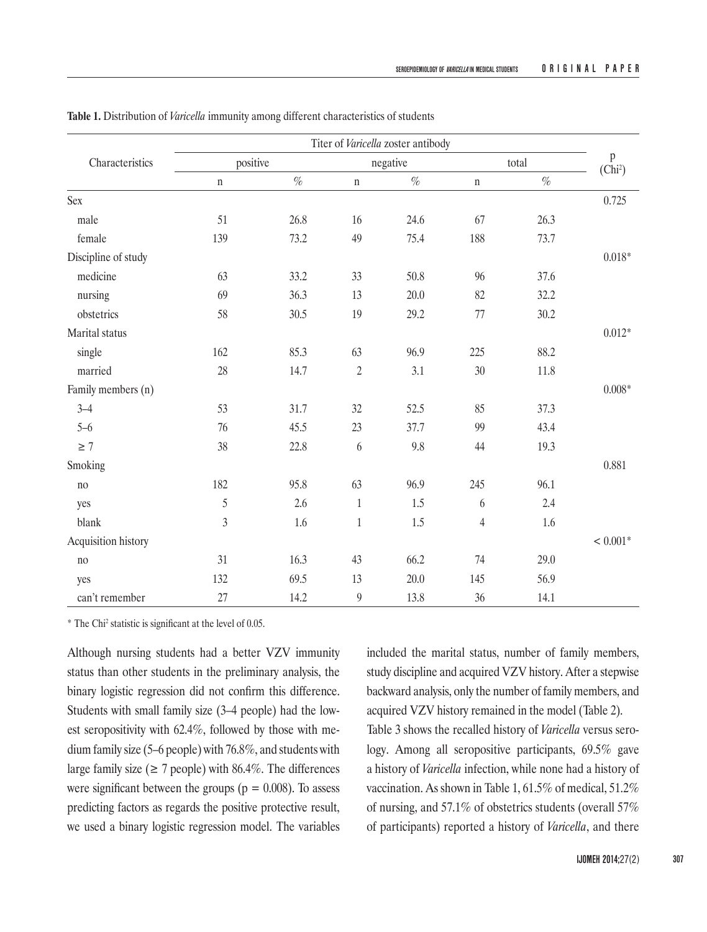| Characteristics     | Titer of Varicella zoster antibody |      |                |      |                |      |                     |
|---------------------|------------------------------------|------|----------------|------|----------------|------|---------------------|
|                     | positive                           |      | negative       |      | total          |      | p                   |
|                     | $\mathbf n$                        | $\%$ | $\mathbf n$    | $\%$ | $\mathbf n$    | $\%$ | (Chi <sup>2</sup> ) |
| <b>Sex</b>          |                                    |      |                |      |                |      | 0.725               |
| male                | 51                                 | 26.8 | 16             | 24.6 | 67             | 26.3 |                     |
| female              | 139                                | 73.2 | 49             | 75.4 | 188            | 73.7 |                     |
| Discipline of study |                                    |      |                |      |                |      | $0.018*$            |
| medicine            | 63                                 | 33.2 | 33             | 50.8 | 96             | 37.6 |                     |
| nursing             | 69                                 | 36.3 | 13             | 20.0 | 82             | 32.2 |                     |
| obstetrics          | 58                                 | 30.5 | 19             | 29.2 | 77             | 30.2 |                     |
| Marital status      |                                    |      |                |      |                |      | $0.012*$            |
| single              | 162                                | 85.3 | 63             | 96.9 | 225            | 88.2 |                     |
| married             | 28                                 | 14.7 | $\overline{2}$ | 3.1  | 30             | 11.8 |                     |
| Family members (n)  |                                    |      |                |      |                |      | $0.008*$            |
| $3 - 4$             | 53                                 | 31.7 | 32             | 52.5 | 85             | 37.3 |                     |
| $5 - 6$             | 76                                 | 45.5 | 23             | 37.7 | 99             | 43.4 |                     |
| $\geq 7$            | 38                                 | 22.8 | 6              | 9.8  | 44             | 19.3 |                     |
| Smoking             |                                    |      |                |      |                |      | 0.881               |
| no                  | 182                                | 95.8 | 63             | 96.9 | 245            | 96.1 |                     |
| yes                 | 5                                  | 2.6  | $\mathbf{1}$   | 1.5  | 6              | 2.4  |                     |
| blank               | $\overline{3}$                     | 1.6  | $\,1\,$        | 1.5  | $\overline{4}$ | 1.6  |                     |
| Acquisition history |                                    |      |                |      |                |      | $< 0.001*$          |
| no                  | 31                                 | 16.3 | 43             | 66.2 | 74             | 29.0 |                     |
| yes                 | 132                                | 69.5 | 13             | 20.0 | 145            | 56.9 |                     |
| can't remember      | 27                                 | 14.2 | $\overline{9}$ | 13.8 | 36             | 14.1 |                     |

**Table 1.** Distribution of *Varicella* immunity among different characteristics of students

\* The Chi<sup>2</sup> statistic is significant at the level of 0.05.

Although nursing students had a better VZV immunity status than other students in the preliminary analysis, the binary logistic regression did not confirm this difference. Students with small family size (3–4 people) had the lowest seropositivity with 62.4%, followed by those with medium family size (5–6 people) with 76.8%, and students with large family size ( $\geq$  7 people) with 86.4%. The differences were significant between the groups ( $p = 0.008$ ). To assess predicting factors as regards the positive protective result, we used a binary logistic regression model. The variables included the marital status, number of family members, study discipline and acquired VZV history. After a stepwise backward analysis, only the number of family members, and acquired VZV history remained in the model (Table 2). Table 3 shows the recalled history of *Varicella* versus serology. Among all seropositive participants, 69.5% gave a history of *Varicella* infection, while none had a history of vaccination. As shown in Table 1, 61.5% of medical, 51.2% of nursing, and 57.1% of obstetrics students (overall 57% of participants) reported a history of *Varicella*, and there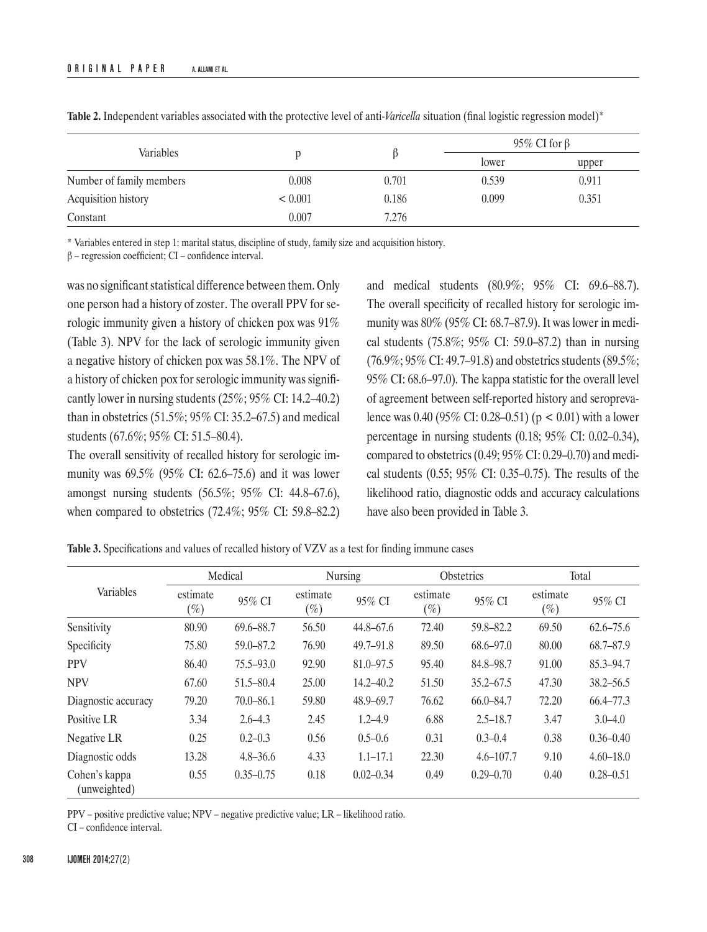| Variables                |         |       |       | 95\% CI for $\beta$ |  |  |
|--------------------------|---------|-------|-------|---------------------|--|--|
|                          |         |       | lower | upper               |  |  |
| Number of family members | 0.008   | 0.701 | 0.539 | 0.911               |  |  |
| Acquisition history      | < 0.001 | 0.186 | 0.099 | 0.351               |  |  |
| Constant                 | 0.007   | 7.276 |       |                     |  |  |

**Table 2.** Independent variables associated with the protective level of anti-*Varicella* situation (final logistic regression model)\*

\* Variables entered in step 1: marital status, discipline of study, family size and acquisition history.

 $β$  – regression coefficient; CI – confidence interval.

was no significant statistical difference between them. Only one person had a history of zoster. The overall PPV for serologic immunity given a history of chicken pox was 91% (Table 3). NPV for the lack of serologic immunity given a negative history of chicken pox was 58.1%. The NPV of a history of chicken pox for serologic immunity was significantly lower in nursing students (25%; 95% CI: 14.2–40.2) than in obstetrics (51.5%; 95% CI: 35.2–67.5) and medical students (67.6%; 95% CI: 51.5–80.4).

The overall sensitivity of recalled history for serologic immunity was 69.5% (95% CI: 62.6–75.6) and it was lower amongst nursing students (56.5%; 95% CI: 44.8–67.6), when compared to obstetrics (72.4%; 95% CI: 59.8–82.2)

and medical students (80.9%; 95% CI: 69.6–88.7). The overall specificity of recalled history for serologic immunity was 80% (95% CI: 68.7–87.9). It was lower in medical students (75.8%; 95% CI: 59.0–87.2) than in nursing (76.9%; 95% CI: 49.7–91.8) and obstetrics students (89.5%; 95% CI: 68.6–97.0). The kappa statistic for the overall level of agreement between self-reported history and seroprevalence was 0.40 (95% CI: 0.28–0.51) (p < 0.01) with a lower percentage in nursing students (0.18; 95% CI: 0.02–0.34), compared to obstetrics (0.49; 95% CI: 0.29–0.70) and medical students (0.55; 95% CI: 0.35–0.75). The results of the likelihood ratio, diagnostic odds and accuracy calculations have also been provided in Table 3.

| Variables                     | Medical            |               | <b>Nursing</b>     |               | Obstetrics         |               | Total              |               |
|-------------------------------|--------------------|---------------|--------------------|---------------|--------------------|---------------|--------------------|---------------|
|                               | estimate<br>$(\%)$ | 95% CI        | estimate<br>$(\%)$ | 95% CI        | estimate<br>$(\%)$ | 95% CI        | estimate<br>$(\%)$ | 95% CI        |
| Sensitivity                   | 80.90              | 69.6-88.7     | 56.50              | $44.8 - 67.6$ | 72.40              | 59.8-82.2     | 69.50              | $62.6 - 75.6$ |
| Specificity                   | 75.80              | $59.0 - 87.2$ | 76.90              | $49.7 - 91.8$ | 89.50              | $68.6 - 97.0$ | 80.00              | 68.7-87.9     |
| <b>PPV</b>                    | 86.40              | $75.5 - 93.0$ | 92.90              | $81.0 - 97.5$ | 95.40              | 84.8-98.7     | 91.00              | 85.3-94.7     |
| <b>NPV</b>                    | 67.60              | $51.5 - 80.4$ | 25.00              | $14.2 - 40.2$ | 51.50              | $35.2 - 67.5$ | 47.30              | $38.2 - 56.5$ |
| Diagnostic accuracy           | 79.20              | $70.0 - 86.1$ | 59.80              | $48.9 - 69.7$ | 76.62              | 66.0–84.7     | 72.20              | 66.4–77.3     |
| Positive LR                   | 3.34               | $2.6 - 4.3$   | 2.45               | $1.2 - 4.9$   | 6.88               | $2.5 - 18.7$  | 3.47               | $3.0 - 4.0$   |
| Negative LR                   | 0.25               | $0.2 - 0.3$   | 0.56               | $0.5 - 0.6$   | 0.31               | $0.3 - 0.4$   | 0.38               | $0.36 - 0.40$ |
| Diagnostic odds               | 13.28              | $4.8 - 36.6$  | 4.33               | $1.1 - 17.1$  | 22.30              | $4.6 - 107.7$ | 9.10               | $4.60 - 18.0$ |
| Cohen's kappa<br>(unweighted) | 0.55               | $0.35 - 0.75$ | 0.18               | $0.02 - 0.34$ | 0.49               | $0.29 - 0.70$ | 0.40               | $0.28 - 0.51$ |

PPV – positive predictive value; NPV – negative predictive value; LR – likelihood ratio.

CI – confidence interval.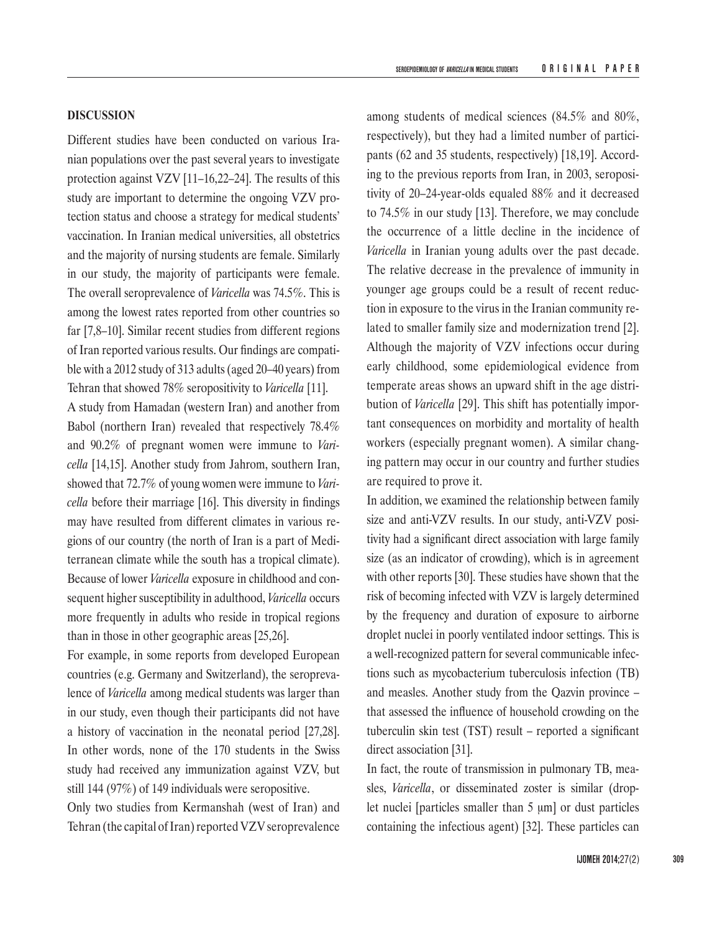Different studies have been conducted on various Iranian populations over the past several years to investigate protection against VZV [11–16,22–24]. The results of this study are important to determine the ongoing VZV protection status and choose a strategy for medical students' vaccination. In Iranian medical universities, all obstetrics and the majority of nursing students are female. Similarly in our study, the majority of participants were female. The overall seroprevalence of *Varicella* was 74.5%. This is among the lowest rates reported from other countries so far [7,8–10]. Similar recent studies from different regions of Iran reported various results. Our findings are compatible with a 2012 study of 313 adults (aged 20–40 years) from Tehran that showed 78% seropositivity to *Varicella* [11].

A study from Hamadan (western Iran) and another from Babol (northern Iran) revealed that respectively 78.4% and 90.2% of pregnant women were immune to *Varicella* [14,15]. Another study from Jahrom, southern Iran, showed that 72.7% of young women were immune to *Varicella* before their marriage [16]. This diversity in findings may have resulted from different climates in various regions of our country (the north of Iran is a part of Mediterranean climate while the south has a tropical climate). Because of lower *Varicella* exposure in childhood and consequent higher susceptibility in adulthood, *Varicella* occurs more frequently in adults who reside in tropical regions than in those in other geographic areas [25,26].

For example, in some reports from developed European countries (e.g. Germany and Switzerland), the seroprevalence of *Varicella* among medical students was larger than in our study, even though their participants did not have a history of vaccination in the neonatal period [27,28]. In other words, none of the 170 students in the Swiss study had received any immunization against VZV, but still 144 (97%) of 149 individuals were seropositive.

Only two studies from Kermanshah (west of Iran) and Tehran (the capital of Iran) reported VZV seroprevalence among students of medical sciences (84.5% and 80%, respectively), but they had a limited number of participants (62 and 35 students, respectively) [18,19]. According to the previous reports from Iran, in 2003, seropositivity of 20–24-year-olds equaled 88% and it decreased to 74.5% in our study [13]. Therefore, we may conclude the occurrence of a little decline in the incidence of *Varicella* in Iranian young adults over the past decade. The relative decrease in the prevalence of immunity in younger age groups could be a result of recent reduction in exposure to the virus in the Iranian community related to smaller family size and modernization trend [2]. Although the majority of VZV infections occur during early childhood, some epidemiological evidence from temperate areas shows an upward shift in the age distribution of *Varicella* [29]. This shift has potentially important consequences on morbidity and mortality of health workers (especially pregnant women). A similar changing pattern may occur in our country and further studies are required to prove it.

In addition, we examined the relationship between family size and anti-VZV results. In our study, anti-VZV positivity had a significant direct association with large family size (as an indicator of crowding), which is in agreement with other reports [30]. These studies have shown that the risk of becoming infected with VZV is largely determined by the frequency and duration of exposure to airborne droplet nuclei in poorly ventilated indoor settings. This is a well-recognized pattern for several communicable infections such as mycobacterium tuberculosis infection (TB) and measles. Another study from the Qazvin province – that assessed the influence of household crowding on the tuberculin skin test (TST) result – reported a significant direct association [31].

In fact, the route of transmission in pulmonary TB, measles, *Varicella*, or disseminated zoster is similar (droplet nuclei [particles smaller than 5 μm] or dust particles containing the infectious agent) [32]. These particles can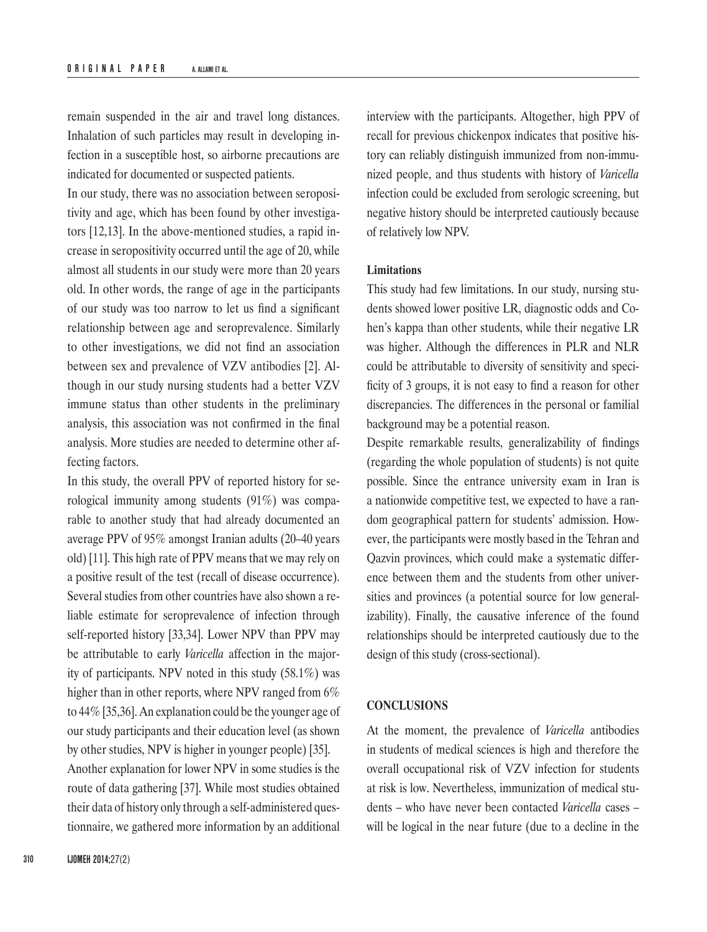remain suspended in the air and travel long distances. Inhalation of such particles may result in developing infection in a susceptible host, so airborne precautions are indicated for documented or suspected patients.

In our study, there was no association between seropositivity and age, which has been found by other investigators [12,13]. In the above-mentioned studies, a rapid increase in seropositivity occurred until the age of 20, while almost all students in our study were more than 20 years old. In other words, the range of age in the participants of our study was too narrow to let us find a significant relationship between age and seroprevalence. Similarly to other investigations, we did not find an association between sex and prevalence of VZV antibodies [2]. Although in our study nursing students had a better VZV immune status than other students in the preliminary analysis, this association was not confirmed in the final analysis. More studies are needed to determine other affecting factors.

In this study, the overall PPV of reported history for serological immunity among students (91%) was comparable to another study that had already documented an average PPV of 95% amongst Iranian adults (20–40 years old) [11]. This high rate of PPV means that we may rely on a positive result of the test (recall of disease occurrence). Several studies from other countries have also shown a reliable estimate for seroprevalence of infection through self-reported history [33,34]. Lower NPV than PPV may be attributable to early *Varicella* affection in the majority of participants. NPV noted in this study (58.1%) was higher than in other reports, where NPV ranged from 6% to 44% [35,36]. An explanation could be the younger age of our study participants and their education level (as shown by other studies, NPV is higher in younger people) [35]. Another explanation for lower NPV in some studies is the route of data gathering [37]. While most studies obtained their data of history only through a self-administered questionnaire, we gathered more information by an additional

interview with the participants. Altogether, high PPV of recall for previous chickenpox indicates that positive history can reliably distinguish immunized from non-immunized people, and thus students with history of *Varicella* infection could be excluded from serologic screening, but negative history should be interpreted cautiously because of relatively low NPV.

#### **Limitations**

This study had few limitations. In our study, nursing students showed lower positive LR, diagnostic odds and Cohen's kappa than other students, while their negative LR was higher. Although the differences in PLR and NLR could be attributable to diversity of sensitivity and specificity of 3 groups, it is not easy to find a reason for other discrepancies. The differences in the personal or familial background may be a potential reason.

Despite remarkable results, generalizability of findings (regarding the whole population of students) is not quite possible. Since the entrance university exam in Iran is a nationwide competitive test, we expected to have a random geographical pattern for students' admission. However, the participants were mostly based in the Tehran and Qazvin provinces, which could make a systematic difference between them and the students from other universities and provinces (a potential source for low generalizability). Finally, the causative inference of the found relationships should be interpreted cautiously due to the design of this study (cross-sectional).

#### **CONCLUSIONS**

At the moment, the prevalence of *Varicella* antibodies in students of medical sciences is high and therefore the overall occupational risk of VZV infection for students at risk is low. Nevertheless, immunization of medical students – who have never been contacted *Varicella* cases – will be logical in the near future (due to a decline in the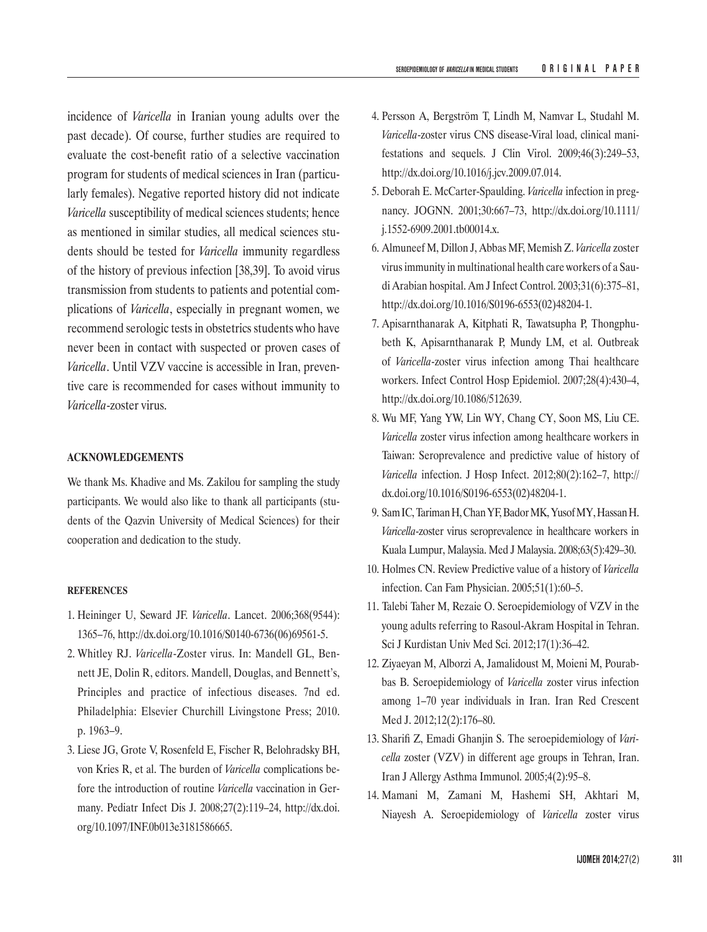incidence of *Varicella* in Iranian young adults over the past decade). Of course, further studies are required to evaluate the cost-benefit ratio of a selective vaccination program for students of medical sciences in Iran (particularly females). Negative reported history did not indicate *Varicella* susceptibility of medical sciences students; hence as mentioned in similar studies, all medical sciences students should be tested for *Varicella* immunity regardless of the history of previous infection [38,39]. To avoid virus transmission from students to patients and potential complications of *Varicella*, especially in pregnant women, we recommend serologic tests in obstetrics students who have never been in contact with suspected or proven cases of *Varicella*. Until VZV vaccine is accessible in Iran, preventive care is recommended for cases without immunity to *Varicella*-zoster virus.

### **ACKNOWLEDGEMENTS**

We thank Ms. Khadive and Ms. Zakilou for sampling the study participants. We would also like to thank all participants (students of the Qazvin University of Medical Sciences) for their cooperation and dedication to the study.

#### **REFERENCES**

- 1. Heininger U, Seward JF. *Varicella*. Lancet. 2006;368(9544): 1365–76, http://dx.doi.org/10.1016/S0140-6736(06)69561-5.
- 2. Whitley RJ. *Varicella*-Zoster virus. In: Mandell GL, Bennett JE, Dolin R, editors. Mandell, Douglas, and Bennett's, Principles and practice of infectious diseases. 7nd ed. Philadelphia: Elsevier Churchill Livingstone Press; 2010. p. 1963–9.
- 3. Liese JG, Grote V, Rosenfeld E, Fischer R, Belohradsky BH, von Kries R, et al. The burden of *Varicella* complications before the introduction of routine *Varicella* vaccination in Germany. Pediatr Infect Dis J. 2008;27(2):119–24, http://dx.doi. org/10.1097/INF.0b013e3181586665.
- 4. Persson A, Bergström T, Lindh M, Namvar L, Studahl M. *Varicella*-zoster virus CNS disease-Viral load, clinical manifestations and sequels. J Clin Virol. 2009;46(3):249–53, http://dx.doi.org/10.1016/j.jcv.2009.07.014.
- 5. Deborah E. McCarter-Spaulding. *Varicella* infection in pregnancy. JOGNN. 2001;30:667–73, http://dx.doi.org/10.1111/ j.1552-6909.2001.tb00014.x.
- 6. Almuneef M, Dillon J, Abbas MF, Memish Z. *Varicella* zoster virus immunity in multinational health care workers of a Saudi Arabian hospital. Am J Infect Control. 2003;31(6):375–81, http://dx.doi.org/10.1016/S0196-6553(02)48204-1.
- 7. Apisarnthanarak A, Kitphati R, Tawatsupha P, Thongphubeth K, Apisarnthanarak P, Mundy LM, et al. Outbreak of *Varicella*-zoster virus infection among Thai healthcare workers. Infect Control Hosp Epidemiol. 2007;28(4):430–4, http://dx.doi.org/10.1086/512639.
- 8. Wu MF, Yang YW, Lin WY, Chang CY, Soon MS, Liu CE. *Varicella* zoster virus infection among healthcare workers in Taiwan: Seroprevalence and predictive value of history of *Varicella* infection. J Hosp Infect. 2012;80(2):162–7, http:// dx.doi.org/10.1016/S0196-6553(02)48204-1.
- 9. Sam IC, Tariman H, Chan YF, Bador MK, Yusof MY, HassanH. *Varicella*-zoster virus seroprevalence in healthcare workers in Kuala Lumpur, Malaysia. Med J Malaysia. 2008;63(5):429–30.
- 10. Holmes CN. Review Predictive value of a history of *Varicella* infection. Can Fam Physician. 2005;51(1):60–5.
- 11. Talebi Taher M, Rezaie O. Seroepidemiology of VZV in the young adults referring to Rasoul-Akram Hospital in Tehran. Sci J Kurdistan Univ Med Sci. 2012;17(1):36–42.
- 12. Ziyaeyan M, Alborzi A, Jamalidoust M, Moieni M, Pourabbas B. Seroepidemiology of *Varicella* zoster virus infection among 1–70 year individuals in Iran. Iran Red Crescent Med J. 2012;12(2):176–80.
- 13. Sharifi Z, Emadi Ghanjin S. The seroepidemiology of *Varicella* zoster (VZV) in different age groups in Tehran, Iran. Iran J Allergy Asthma Immunol. 2005;4(2):95–8.
- 14. Mamani M, Zamani M, Hashemi SH, Akhtari M, Niayesh A. Seroepidemiology of *Varicella* zoster virus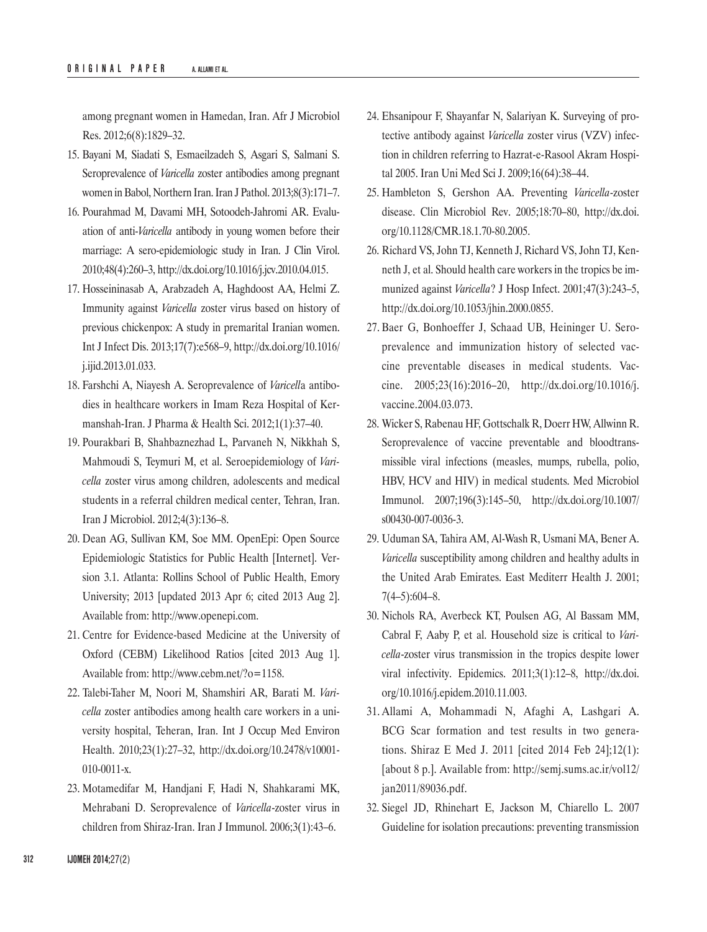among pregnant women in Hamedan, Iran. Afr J Microbiol Res. 2012;6(8):1829–32.

- 15. Bayani M, Siadati S, Esmaeilzadeh S, Asgari S, Salmani S. Seroprevalence of *Varicella* zoster antibodies among pregnant women in Babol, Northern Iran. Iran J Pathol. 2013;8(3):171–7.
- 16. Pourahmad M, Davami MH, Sotoodeh-Jahromi AR. Evaluation of anti-*Varicella* antibody in young women before their marriage: A sero-epidemiologic study in Iran. J Clin Virol. 2010;48(4):260–3, http://dx.doi.org/10.1016/j.jcv.2010.04.015.
- 17. Hosseininasab A, Arabzadeh A, Haghdoost AA, Helmi Z. Immunity against *Varicella* zoster virus based on history of previous chickenpox: A study in premarital Iranian women. Int J Infect Dis. 2013;17(7):e568–9, http://dx.doi.org/10.1016/ j.ijid.2013.01.033.
- 18. Farshchi A, Niayesh A. Seroprevalence of *Varicell*a antibodies in healthcare workers in Imam Reza Hospital of Kermanshah-Iran. J Pharma & Health Sci. 2012;1(1):37–40.
- 19. Pourakbari B, Shahbaznezhad L, Parvaneh N, [Nikkhah](http://www.ncbi.nlm.nih.gov/pubmed/?term=Nikkhah S%5Bauth%5D) S, [Mahmoudi](http://www.ncbi.nlm.nih.gov/pubmed/?term=Mahmoudi S%5Bauth%5D) S, [Teymuri](http://www.ncbi.nlm.nih.gov/pubmed/?term=Teymuri M%5Bauth%5D) M, et al. Seroepidemiology of *Varicella* zoster virus among children, adolescents and medical students in a referral children medical center, Tehran, Iran. Iran J Microbiol. 2012;4(3):136–8.
- 20. Dean AG, Sullivan KM, Soe MM. OpenEpi: Open Source Epidemiologic Statistics for Public Health [Internet]. Version 3.1. Atlanta: Rollins School of Public Health, Emory University; 2013 [updated 2013 Apr 6; cited 2013 Aug 2]. Available from: http://www.openepi.com.
- 21. Centre for Evidence-based Medicine at the University of Oxford (CEBM) Likelihood Ratios [cited 2013 Aug 1]. Available from: http://www.cebm.net/?o=1158.
- 22. Talebi-Taher M, Noori M, Shamshiri AR, Barati M. *Varicella* zoster antibodies among health care workers in a university hospital, Teheran, Iran. Int J Occup Med Environ Health. 2010;23(1):27–32, http://dx.doi.org/10.2478/v10001- 010-0011-x.
- 23. Motamedifar M, Handjani F, Hadi N, Shahkarami MK, Mehrabani D. Seroprevalence of *Varicella*-zoster virus in children from Shiraz-Iran. Iran J Immunol. 2006;3(1):43–6.
- 24. Ehsanipour F, Shayanfar N, Salariyan K. Surveying of protective antibody against *Varicella* zoster virus (VZV) infection in children referring to Hazrat-e-Rasool Akram Hospital 2005. Iran Uni Med Sci J. 2009;16(64):38–44.
- 25. Hambleton S, Gershon AA. Preventing *Varicella*-zoster disease. Clin Microbiol Rev. 2005;18:70–80, http://dx.doi. org/10.1128/CMR.18.1.70-80.2005.
- 26. Richard VS, John TJ, Kenneth J, Richard VS, John TJ, Kenneth J, et al. Should health care workers in the tropics be immunized against *Varicella*? J Hosp Infect. 2001;47(3):243–5, http://dx.doi.org/10.1053/jhin.2000.0855.
- 27. Baer G, Bonhoeffer J, Schaad UB, Heininger U. Seroprevalence and immunization history of selected vaccine preventable diseases in medical students. Vaccine. 2005;23(16):2016–20, http://dx.doi.org/10.1016/j. vaccine.2004.03.073.
- 28. Wicker S, Rabenau HF, Gottschalk R, Doerr HW, Allwinn R. Seroprevalence of vaccine preventable and bloodtransmissible viral infections (measles, mumps, rubella, polio, HBV, HCV and HIV) in medical students. Med Microbiol Immunol. 2007;196(3):145–50, http://dx.doi.org/10.1007/ s00430-007-0036-3.
- 29. Uduman SA, Tahira AM, Al-Wash R, Usmani MA, Bener A. *Varicella* susceptibility among children and healthy adults in the United Arab Emirates. East Mediterr Health J. 2001; 7(4–5):604–8.
- 30. Nichols RA, Averbeck KT, Poulsen AG, Al Bassam MM, Cabral F, Aaby P, et al. Household size is critical to *Varicella*-zoster virus transmission in the tropics despite lower viral infectivity. Epidemics. 2011;3(1):12–8, http://dx.doi. org/10.1016/j.epidem.2010.11.003.
- 31. Allami A, Mohammadi N, Afaghi A, Lashgari A. BCG Scar formation and test results in two generations. Shiraz E Med J. 2011 [cited 2014 Feb 24];12(1): [about 8 p.]. Available from: [http://semj.sums.ac.ir/vol12/](http://semj.sums.ac.ir/vol12/jan2011/89036.pdf) [jan2011/89036.pdf](http://semj.sums.ac.ir/vol12/jan2011/89036.pdf).
- 32. Siegel JD, Rhinehart E, Jackson M, Chiarello L. 2007 Guideline for isolation precautions: preventing transmission